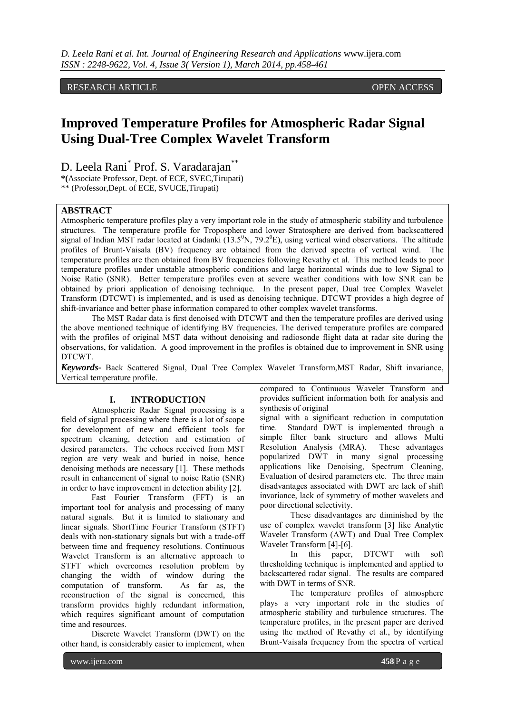## RESEARCH ARTICLE **OPEN ACCESS**

# **Improved Temperature Profiles for Atmospheric Radar Signal Using Dual-Tree Complex Wavelet Transform**

D. Leela Rani<sup>\*</sup> Prof. S. Varadarajan<sup>\*\*</sup> **\*(**Associate Professor, Dept. of ECE, SVEC,Tirupati)

\*\* (Professor,Dept. of ECE, SVUCE,Tirupati)

## **ABSTRACT**

Atmospheric temperature profiles play a very important role in the study of atmospheric stability and turbulence structures. The temperature profile for Troposphere and lower Stratosphere are derived from backscattered signal of Indian MST radar located at Gadanki  $(13.5^{\circ}N, 79.2^{\circ}E)$ , using vertical wind observations. The altitude profiles of Brunt-Vaisala (BV) frequency are obtained from the derived spectra of vertical wind. The temperature profiles are then obtained from BV frequencies following Revathy et al. This method leads to poor temperature profiles under unstable atmospheric conditions and large horizontal winds due to low Signal to Noise Ratio (SNR). Better temperature profiles even at severe weather conditions with low SNR can be obtained by priori application of denoising technique. In the present paper, Dual tree Complex Wavelet Transform (DTCWT) is implemented, and is used as denoising technique. DTCWT provides a high degree of shift-invariance and better phase information compared to other complex wavelet transforms.

The MST Radar data is first denoised with DTCWT and then the temperature profiles are derived using the above mentioned technique of identifying BV frequencies. The derived temperature profiles are compared with the profiles of original MST data without denoising and radiosonde flight data at radar site during the observations, for validation. A good improvement in the profiles is obtained due to improvement in SNR using DTCWT.

*Keywords-* Back Scattered Signal, Dual Tree Complex Wavelet Transform,MST Radar, Shift invariance, Vertical temperature profile.

#### **I. INTRODUCTION**

Atmospheric Radar Signal processing is a field of signal processing where there is a lot of scope for development of new and efficient tools for spectrum cleaning, detection and estimation of desired parameters. The echoes received from MST region are very weak and buried in noise, hence denoising methods are necessary [1]. These methods result in enhancement of signal to noise Ratio (SNR) in order to have improvement in detection ability [2].

Fast Fourier Transform (FFT) is an important tool for analysis and processing of many natural signals. But it is limited to stationary and linear signals. ShortTime Fourier Transform (STFT) deals with non-stationary signals but with a trade-off between time and frequency resolutions. Continuous Wavelet Transform is an alternative approach to STFT which overcomes resolution problem by changing the width of window during the computation of transform. As far as, the reconstruction of the signal is concerned, this transform provides highly redundant information, which requires significant amount of computation time and resources.

Discrete Wavelet Transform (DWT) on the other hand, is considerably easier to implement, when compared to Continuous Wavelet Transform and provides sufficient information both for analysis and synthesis of original

signal with a significant reduction in computation time. Standard DWT is implemented through a simple filter bank structure and allows Multi Resolution Analysis (MRA). These advantages popularized DWT in many signal processing applications like Denoising, Spectrum Cleaning, Evaluation of desired parameters etc. The three main disadvantages associated with DWT are lack of shift invariance, lack of symmetry of mother wavelets and poor directional selectivity.

These disadvantages are diminished by the use of complex wavelet transform [3] like Analytic Wavelet Transform (AWT) and Dual Tree Complex Wavelet Transform [4]-[6].

In this paper, DTCWT with soft thresholding technique is implemented and applied to backscattered radar signal. The results are compared with DWT in terms of SNR.

The temperature profiles of atmosphere plays a very important role in the studies of atmospheric stability and turbulence structures. The temperature profiles, in the present paper are derived using the method of Revathy et al., by identifying Brunt-Vaisala frequency from the spectra of vertical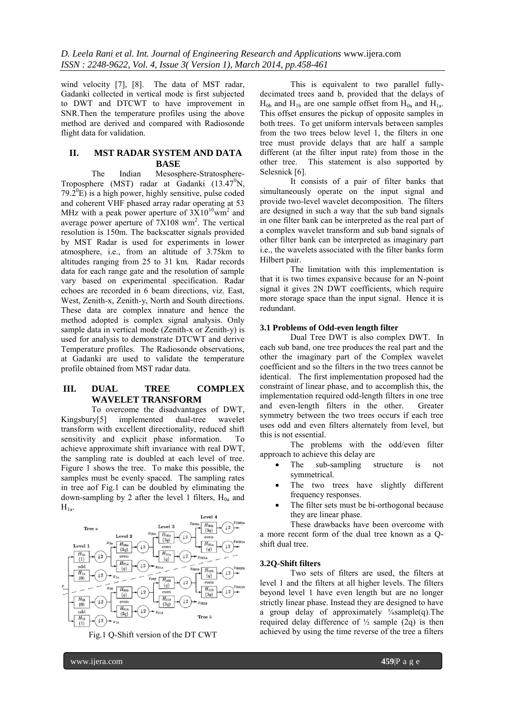wind velocity [7], [8]. The data of MST radar, Gadanki collected in vertical mode is first subjected to DWT and DTCWT to have improvement in SNR.Then the temperature profiles using the above method are derived and compared with Radiosonde flight data for validation.

### **II. MST RADAR SYSTEM AND DATA BASE**

The Indian Mesosphere-Stratosphere-Troposphere (MST) radar at Gadanki  $(13.47^0N,$ 79.2 $^{\circ}$ E) is a high power, highly sensitive, pulse coded and coherent VHF phased array radar operating at 53 MHz with a peak power aperture of  $3X10^{10}$ wm<sup>2</sup> and average power aperture of  $7X108$  wm<sup>2</sup>. The vertical resolution is 150m. The backscatter signals provided by MST Radar is used for experiments in lower atmosphere, i.e., from an altitude of 3.75km to altitudes ranging from 25 to 31 km. Radar records data for each range gate and the resolution of sample vary based on experimental specification. Radar echoes are recorded in 6 beam directions, viz. East, West, Zenith-x, Zenith-y, North and South directions. These data are complex innature and hence the method adopted is complex signal analysis. Only sample data in vertical mode (Zenith-x or Zenith-y) is used for analysis to demonstrate DTCWT and derive Temperature profiles. The Radiosonde observations, at Gadanki are used to validate the temperature profile obtained from MST radar data.

## **III. DUAL TREE COMPLEX WAVELET TRANSFORM**

To overcome the disadvantages of DWT, Kingsbury[5] implemented dual-tree wavelet transform with excellent directionality, reduced shift sensitivity and explicit phase information. To achieve approximate shift invariance with real DWT, the sampling rate is doubled at each level of tree. Figure 1 shows the tree. To make this possible, the samples must be evenly spaced. The sampling rates in tree aof Fig.1 can be doubled by eliminating the down-sampling by 2 after the level 1 filters,  $H_{0a}$  and  $H_{1a}$ .



Fig.1 Q-Shift version of the DT CWT

This is equivalent to two parallel fullydecimated trees aand b, provided that the delays of  $H_{0b}$  and  $H_{1b}$  are one sample offset from  $H_{0a}$  and  $H_{1a}$ . This offset ensures the pickup of opposite samples in both trees. To get uniform intervals between samples from the two trees below level 1, the filters in one tree must provide delays that are half a sample different (at the filter input rate) from those in the other tree. This statement is also supported by Selesnick [6].

It consists of a pair of filter banks that simultaneously operate on the input signal and provide two-level wavelet decomposition. The filters are designed in such a way that the sub band signals in one filter bank can be interpreted as the real part of a complex wavelet transform and sub band signals of other filter bank can be interpreted as imaginary part i.e., the wavelets associated with the filter banks form Hilbert pair.

The limitation with this implementation is that it is two times expansive because for an N-point signal it gives 2N DWT coefficients, which require more storage space than the input signal. Hence it is redundant.

#### **3.1 Problems of Odd-even length filter**

Dual Tree DWT is also complex DWT. In each sub band, one tree produces the real part and the other the imaginary part of the Complex wavelet coefficient and so the filters in the two trees cannot be identical. The first implementation proposed had the constraint of linear phase, and to accomplish this, the implementation required odd-length filters in one tree and even-length filters in the other. Greater symmetry between the two trees occurs if each tree uses odd and even filters alternately from level, but this is not essential.

The problems with the odd/even filter approach to achieve this delay are

- The sub-sampling structure is not symmetrical.
- The two trees have slightly different frequency responses.
- The filter sets must be bi-orthogonal because they are linear phase.

These drawbacks have been overcome with a more recent form of the dual tree known as a Qshift dual tree.

#### **3.2Q-Shift filters**

Two sets of filters are used, the filters at level 1 and the filters at all higher levels. The filters beyond level 1 have even length but are no longer strictly linear phase. Instead they are designed to have a group delay of approximately  $\frac{1}{4}$ sample(q). The required delay difference of  $\frac{1}{2}$  sample (2q) is then achieved by using the time reverse of the tree a filters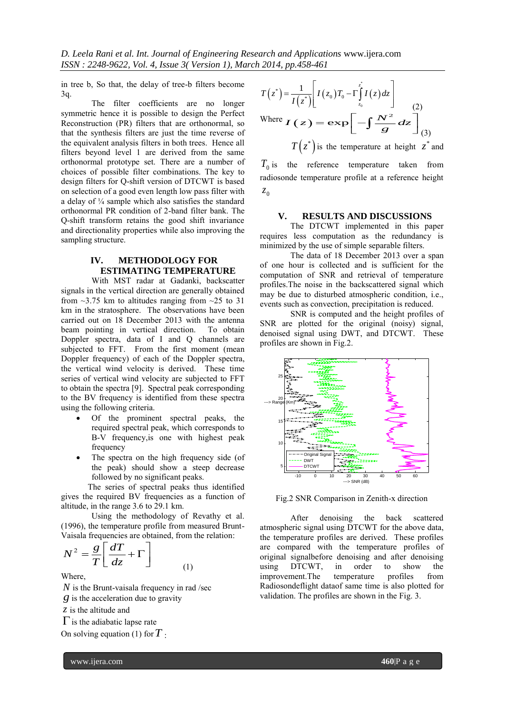*D. Leela Rani et al. Int. Journal of Engineering Research and Applications* www.ijera.com *ISSN : 2248-9622, Vol. 4, Issue 3( Version 1), March 2014, pp.458-461*

in tree b, So that, the delay of tree-b filters become 3q.

The filter coefficients are no longer symmetric hence it is possible to design the Perfect Reconstruction (PR) filters that are orthonormal, so that the synthesis filters are just the time reverse of the equivalent analysis filters in both trees. Hence all filters beyond level 1 are derived from the same orthonormal prototype set. There are a number of choices of possible filter combinations. The key to design filters for Q-shift version of DTCWT is based on selection of a good even length low pass filter with a delay of ¼ sample which also satisfies the standard orthonormal PR condition of 2-band filter bank. The Q-shift transform retains the good shift invariance and directionality properties while also improving the sampling structure.

# **IV. METHODOLOGY FOR ESTIMATING TEMPERATURE**

With MST radar at Gadanki, backscatter signals in the vertical direction are generally obtained from  $\sim$ 3.75 km to altitudes ranging from  $\sim$ 25 to 31 km in the stratosphere. The observations have been carried out on 18 December 2013 with the antenna beam pointing in vertical direction. To obtain Doppler spectra, data of I and Q channels are subjected to FFT. From the first moment (mean Doppler frequency) of each of the Doppler spectra, the vertical wind velocity is derived. These time series of vertical wind velocity are subjected to FFT to obtain the spectra [9]. Spectral peak corresponding to the BV frequency is identified from these spectra using the following criteria.

- Of the prominent spectral peaks, the required spectral peak, which corresponds to B-V frequency,is one with highest peak frequency
- The spectra on the high frequency side (of the peak) should show a steep decrease followed by no significant peaks.

The series of spectral peaks thus identified gives the required BV frequencies as a function of altitude, in the range 3.6 to 29.1 km.

Using the methodology of Revathy et al. (1996), the temperature profile from measured Brunt-Vaisala frequencies are obtained, from the relation:

(1)

$$
N^2 = \frac{g}{T} \left[ \frac{dT}{dz} + \Gamma \right]
$$

Where,

*N* is the Brunt-vaisala frequency in rad /sec  $g$  is the acceleration due to gravity

*z* is the altitude and

 $\Gamma$  is the adiabatic lapse rate

On solving equation (1) for *T* :

$$
T(z^*) = \frac{1}{I(z^*)} \left[ I(z_0) T_0 - \Gamma \int_{z_0}^{z^*} I(z) dz \right]
$$
  
Where  $I(z) = \exp \left[ -\int \frac{N^2}{g} dz \right]_{(3)}^{(2)}$   
 $T(z^*)$  is the temperature at height  $z^*$  and

 $T_0$  is the reference temperature taken from radiosonde temperature profile at a reference height 0 *z*

#### **V. RESULTS AND DISCUSSIONS**

The DTCWT implemented in this paper requires less computation as the redundancy is minimized by the use of simple separable filters.

The data of 18 December 2013 over a span of one hour is collected and is sufficient for the computation of SNR and retrieval of temperature profiles.The noise in the backscattered signal which may be due to disturbed atmospheric condition, i.e., events such as convection, precipitation is reduced.

SNR is computed and the height profiles of SNR are plotted for the original (noisy) signal, denoised signal using DWT, and DTCWT. These profiles are shown in Fig.2.



Fig.2 SNR Comparison in Zenith-x direction

After denoising the back scattered atmospheric signal using DTCWT for the above data, the temperature profiles are derived. These profiles are compared with the temperature profiles of original signalbefore denoising and after denoising<br>using DTCWT, in order to show the using DTCWT, in order to show the<br>improvement.The temperature profiles from improvement.The temperature profiles from Radiosondeflight dataof same time is also plotted for validation. The profiles are shown in the Fig. 3.